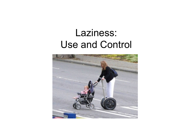## Laziness: Use and Control

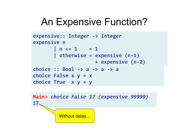## An Expensive Function?

```
expensive:: Integer -> Integer
expensive n
\left| \begin{array}{cccc} n < = & 1 \end{array} \right| = 1)))))))|)otherwise)=)expensive)(n.1))))))))))
                           )))))))))))))))))))))+)expensive)(n.2))
choice :: Bool -> a -> a -> a
choice False)x)y)=)x)
choice True x y = y
```
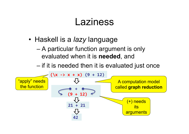### **Laziness**

- Haskell is a *lazy* language
	- A particular function argument is only evaluated when it is **needed**, and
	- if it is needed then it is evaluated just once

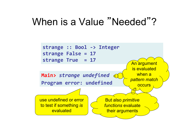### When is a Value "Needed"?

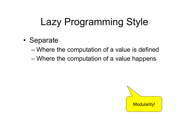# Lazy Programming Style

- Separate
	- Where the computation of a value is defined
	- Where the computation of a value happens

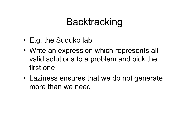## **Backtracking**

- E.g. the Suduko lab
- Write an expression which represents all valid solutions to a problem and pick the first one.
- Laziness ensures that we do not generate more than we need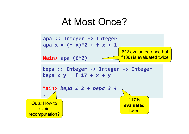### At Most Once?

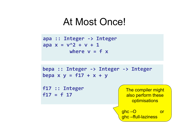#### At Most Once!

**apa)::)Integer).>)Integer** apa  $x = v^2 + v + 1$ where  $v = f x$ 

**bepa)::)Integer).>)Integer).>)Integer**  $bepa$  **x**  $y = f17 + x + y$ **f17)::)Integer**  $f17 = f17$ The compiler might also perform these **optimisations** ghc –O or ghc –ffull-laziness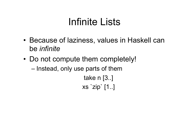## Infinite Lists

- Because of laziness, values in Haskell can be *infinite*
- Do not compute them completely!
	- Instead, only use parts of them

```
take n [3..] 
xs `zip` [1..]
```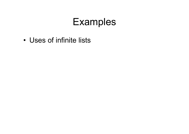## Examples

• Uses of infinite lists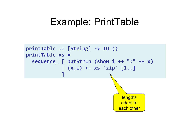### Example: PrintTable

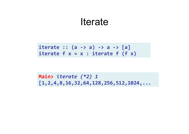#### **Iterate**

 $\text{iterate} :: (a \rightarrow a) \rightarrow a \rightarrow [a]$ iterate  $f(x) = x$ : iterate  $f(f(x))$ 

**Main>** *iterate&(\*2)&1&* **[1,2,4,8,16,32,64,128,256,512,1024,...)**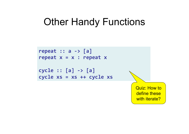## Other Handy Functions

```
repeat)::)a).>)[a])
repeat x = x : repeat xcycle)::)[a]).>)[a])
cycle xs)=)xs)++)cycle xs
```
Quiz: How to define these with iterate?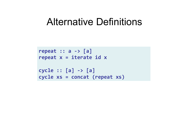### Alternative Definitions

```
repeat)::)a).>)[a])
repeat x =iterate id xcycle)::)[a]).>)[a])
cycle xs)=)concat)(repeat xs))
```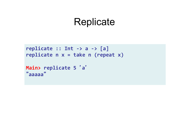### **Replicate**

```
replicate :: Int -> a -> [a]
replicate n x = take n (repeat x)
```

```
Main> replicate 5 'a'
"
aaaaa
"
```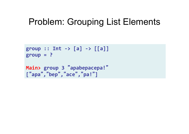#### Problem: Grouping List Elements

```
group :: Int -> [a] -> [[a]]group)=)?)
Main>)group)3)"apabepacepa!"
["
apa
"
,
"bep"
,
"
ace
"
,
"pa!"])
```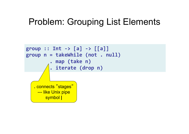#### Problem: Grouping List Elements

```
group :: Int -> [a] -> [[a]]group n = takeWhile (not . null)
          )))))))).)map)(take)n))
           )))))))).)iterate)(drop)n))
   . connects "stages"
     --- like Unix pipe
        symbol |
```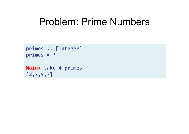### Problem: Prime Numbers

```
primes)::)[Integer])
primes = ?
```

```
Main> take)4)primes
[2,3,5,7])
```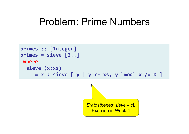### Problem: Prime Numbers

```
primes)::)[Integer])
primes = sieve [2..]where
  sieve (x:xs)
     = x : sieve [ y | y \leftarrow xs, y \mod x /= 0 ]
```
*Eratosthenes' sieve* – cf. Exercise in Week 4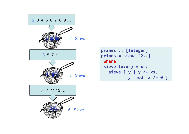

```
primes)::)[Integer])
primes = sizeve [2..]where
 sieve(x:xs) = x:
   sieve [ y | y <- xs,
           )))))))))))y)`mod`)x)/=)0)])
```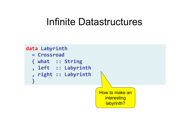### Infinite Datastructures

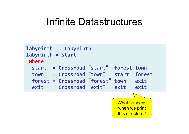### Infinite Datastructures

```
labyrinth)::)Labyrinth)
labyrinth = start
 where)
  ))start))=)Crossroad)"start"))forest)town)
  ))town)))=)Crossroad)"town")))start))forest)
  ))forest)=)Crossroad)"forest")town)))exit)
  ))exit)))=)Crossroad)"exit")))exit)))exit)
                                  What happens 
                                  when we print
```
this structure?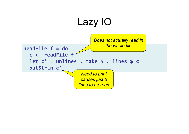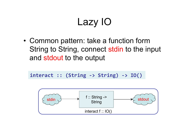# Lazy IO

• Common pattern: take a function form String to String, connect stdin to the input and stdout to the output

 $interact: (String -> String) -> IO()$ 

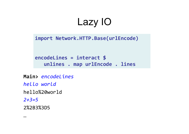# Lazy IO

import Network.HTTP.Base(urlEncode)

**encodeLines)=)interact)\$ )) )))unlines).)map urlEncode).)lines))**

**Main>** *encodeLines*!! *hello+world+* hello%20world! *2+3=5+* 2%2B3%3D5!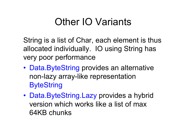## Other IO Variants

String is a list of Char, each element is thus allocated individually. IO using String has very poor performance

- Data.ByteString provides an alternative non-lazy array-like representation **ByteString**
- Data.ByteString.Lazy provides a hybrid version which works like a list of max 64KB chunks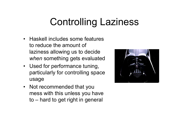# Controlling Laziness

- Haskell includes some features to reduce the amount of laziness allowing us to decide *when* something gets evaluated
- Used for performance tuning, particularly for controlling space usage
- Not recommended that you mess with this unless you have to – hard to get right in general

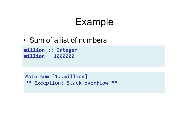## Example

• Sum of a list of numbers

**million)::)Integer)) million)=)1000000)**

Main sum [1..million] \*\* Exception: Stack overflow \*\*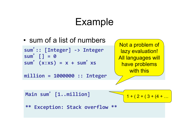## Example

• sum of a list of numbers

```
sum
'::)[Integer]).>)Integer
sum
')[])=)0)
sum' (x:xs) = x + sum' xs
```

```
million)=)1000000)::)Integer)))
```

```
Not a problem of 
lazy evaluation!
All languages will 
 have problems 
    with this
```

```
Main)sum
')[1..million])
```

$$
\frac{1}{1} + (2 + (3 + (4 + ...
$$

```
** Exception: Stack overflow **
```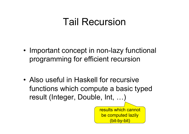## Tail Recursion

- Important concept in non-lazy functional programming for efficient recursion
- Also useful in Haskell for recursive functions which compute a basic typed result (Integer, Double, Int, …)

results which cannot be computed lazily (bit-by-bit)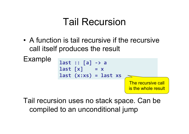## Tail Recursion

• A function is tail recursive if the recursive call itself produces the result



Tail recursion uses no stack space. Can be compiled to an unconditional jump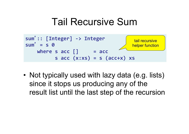### Tail Recursive Sum



• Not typically used with lazy data (e.g. lists) since it stops us producing any of the result list until the last step of the recursion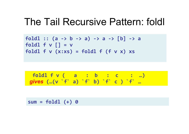### The Tail Recursive Pattern: foldl

foldl ::  $(a \rightarrow b \rightarrow a) \rightarrow a \rightarrow [b] \rightarrow a$ foldl  $f \vee \lceil \rceil = v$ foldl  $f(v(x:xs)) = fold1 f(f(x)x) xs$ 

$$
\begin{array}{cccc}\n\text{fold1} & f \lor ( & a & : & b & : & c & : & \ldots) \\
\text{gives } (\ldots (\lor \dot{f} \quad a) & f \quad b) & f \quad c & ) & f \quad \ldots\n\end{array}
$$

**sum)=)foldl)(+))0)**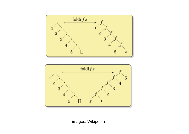



images: Wikipedia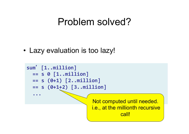### Problem solved?

• Lazy evaluation is too lazy!

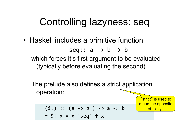## Controlling lazyness: seq

• Haskell includes a primitive function seq::  $a \rightarrow b \rightarrow b$ which forces it's first argument to be evaluated (typically before evaluating the second).

The prelude also defines a strict application operation:

> "strict" is used to mean the opposite of "lazy"

 $( $!) :: (a \rightarrow b ) \rightarrow a \rightarrow b$ f  $$! x = x$  `seq` f x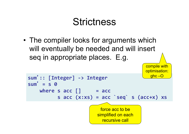## **Strictness**

• The compiler looks for arguments which will eventually be needed and will insert seq in appropriate places. E.g.

```
sum
'::)[Integer]).>)Integer)
sum
')=)s)0))
     where s acc [] = acc
             s \text{ acc}(x:xs) = acc \text{ } 'seq' \text{ } s \text{ (acc+x) } xsforce acc to be 
                                simplified on each
                                   recursive call 
                                                          ghc –O
```
compile with

optimisation: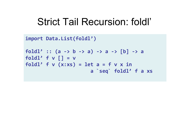### Strict Tail Recursion: foldl'

```
import Data.List(foldl')
foldl':: (a \rightarrow b \rightarrow a) \rightarrow a \rightarrow [b] \rightarrow afoldl' f \vee \lceil] = vfoldl' f \vee (x:xs) = let a = f \vee x in
                                  ))))))))))))))))))))))a)`seq`)foldl')f)a)xs
```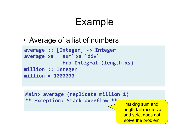## Example

• Average of a list of numbers

```
average)::)[Integer]).>)Integer
average xs = sum' xs `div`
               )))))))))))))fromIntegral)(length xs))
million)::)Integer))
million)=)1000000)
```
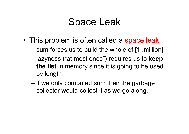### Space Leak

- This problem is often called a space leak
	- sum forces us to build the whole of [1..million]
	- lazyness ("at most once") requires us to **keep the list** in memory since it is going to be used by length
	- $-$  if we only computed sum then the garbage collector would collect it as we go along.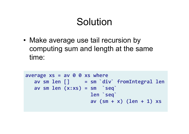## Solution

• Make average use tail recursion by computing sum and length at the same time:

```
average xs = av 0 0 xs where)))av)sm)len)[])))))=)sm)`div`)fromIntegral)len))
    av sm len(x:xs) = sm \searrow seq\searrow))))))))))))))))))))))len)`seq`)
                                ))))))))))))))))))))))av)(sm)+)x))(len)+)1))xs
```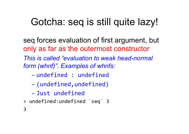# Gotcha: seq is still quite lazy!

seq forces evaluation of first argument, but only as far as the outermost constructor *This is called "evaluation to weak head-normal form (whnf)". Examples of whnfs:* 

- undefined!:!undefined!
- (undefined,undefined)!
- Just undefined
- > undefined:undefined `seq` 3

3!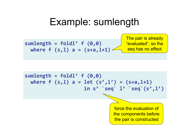### Example: sumlength

 $sumlength = fold1' f(0,0)$ where  $f(s,1)$  a =  $(s+a,1+1)$ The pair is already "evaluated", so the seq has no effect

 $sumlength = fold1' f(0,0)$ where  $f(s,1)$  a = let  $(s',1')$  =  $(s+a,1+1)$ **))))))))))))))))))))in)s')`seq`)l')`seq`(s',l'))**

> force the evaluation of the components before the pair is constructed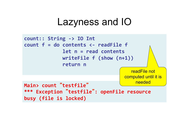### Lazyness and IO

```
count:: String -> IO Int
count f = do contents \langle - \rangle readFile f)))))))))))))let)n)=)read)contents
                   )))))))))))))writeFile)f)(show)(n+1)))
                   )))))))))))))return)n)
```
readFile not computed until it is needed

**Main>)count)**"**testfile**" **\*\*\*)Exception)**"**testfile**"**:)openFile)resource)** busy (file is locked)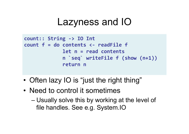### Lazyness and IO

```
count:: String -> IO Int
count f = do contents <- readFile f
                 )))))))))))))let)n)=)read)contents
                 )))))))))))))n)`seq`)writeFile)f)(show)(n+1)))
                 )))))))))))))return)n)
```
- Often lazy IO is "just the right thing"
- Need to control it sometimes
	- Usually solve this by working at the level of file handles. See e.g. System.IO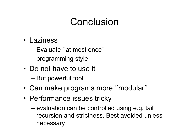## Conclusion

- Laziness
	- Evaluate "at most once "
	- programming style
- Do not have to use it
	- But powerful tool!
- Can make programs more "modular"
- Performance issues tricky
	- evaluation can be controlled using e.g. tail recursion and strictness. Best avoided unless necessary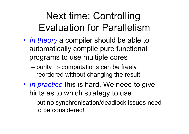# Next time: Controlling Evaluation for Parallelism

- *In theory* a compiler should be able to automatically compile pure functional programs to use multiple cores
	- $–$  purity  $\Rightarrow$  computations can be freely reordered without changing the result
- *In practice* this is hard. We need to give hints as to which strategy to use
	- but no synchronisation/deadlock issues need to be considered!